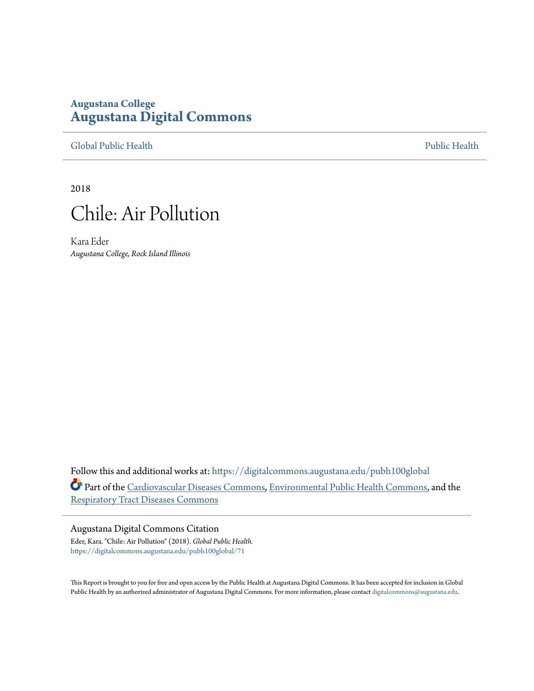#### **Augustana College [Augustana Digital Commons](https://digitalcommons.augustana.edu?utm_source=digitalcommons.augustana.edu%2Fpubh100global%2F71&utm_medium=PDF&utm_campaign=PDFCoverPages)**

[Global Public Health](https://digitalcommons.augustana.edu/pubh100global?utm_source=digitalcommons.augustana.edu%2Fpubh100global%2F71&utm_medium=PDF&utm_campaign=PDFCoverPages) [Public Health](https://digitalcommons.augustana.edu/publichealth?utm_source=digitalcommons.augustana.edu%2Fpubh100global%2F71&utm_medium=PDF&utm_campaign=PDFCoverPages)

2018



Kara Eder *Augustana College, Rock Island Illinois*

Follow this and additional works at: [https://digitalcommons.augustana.edu/pubh100global](https://digitalcommons.augustana.edu/pubh100global?utm_source=digitalcommons.augustana.edu%2Fpubh100global%2F71&utm_medium=PDF&utm_campaign=PDFCoverPages) Part of the [Cardiovascular Diseases Commons,](http://network.bepress.com/hgg/discipline/929?utm_source=digitalcommons.augustana.edu%2Fpubh100global%2F71&utm_medium=PDF&utm_campaign=PDFCoverPages) [Environmental Public Health Commons,](http://network.bepress.com/hgg/discipline/739?utm_source=digitalcommons.augustana.edu%2Fpubh100global%2F71&utm_medium=PDF&utm_campaign=PDFCoverPages) and the [Respiratory Tract Diseases Commons](http://network.bepress.com/hgg/discipline/990?utm_source=digitalcommons.augustana.edu%2Fpubh100global%2F71&utm_medium=PDF&utm_campaign=PDFCoverPages)

#### Augustana Digital Commons Citation Eder, Kara. "Chile: Air Pollution" (2018). *Global Public Health.* [https://digitalcommons.augustana.edu/pubh100global/71](https://digitalcommons.augustana.edu/pubh100global/71?utm_source=digitalcommons.augustana.edu%2Fpubh100global%2F71&utm_medium=PDF&utm_campaign=PDFCoverPages)

This Report is brought to you for free and open access by the Public Health at Augustana Digital Commons. It has been accepted for inclusion in Global Public Health by an authorized administrator of Augustana Digital Commons. For more information, please contact [digitalcommons@augustana.edu.](mailto:digitalcommons@augustana.edu)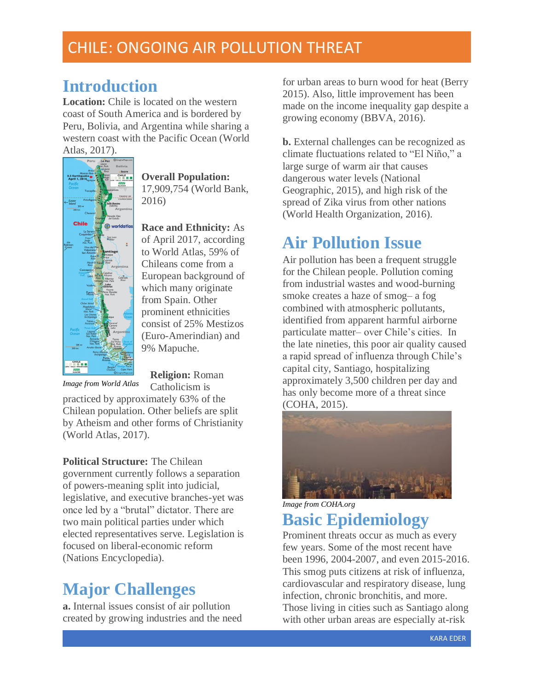## CHILE: ONGOING AIR POLLUTION THREAT

## **Introduction**

**Location:** Chile is located on the western coast of South America and is bordered by Peru, Bolivia, and Argentina while sharing a western coast with the Pacific Ocean (World Atlas, 2017).



**Overall Population:** 17,909,754 (World Bank, 2016)

**Race and Ethnicity:** As of April 2017, according to World Atlas, 59% of Chileans come from a European background of which many originate from Spain. Other prominent ethnicities consist of 25% Mestizos (Euro-Amerindian) and 9% Mapuche.

*Image from World Atlas* 

**Religion:** Roman Catholicism is

practiced by approximately 63% of the Chilean population. Other beliefs are split by Atheism and other forms of Christianity (World Atlas, 2017).

**Political Structure:** The Chilean government currently follows a separation of powers-meaning split into judicial, legislative, and executive branches-yet was once led by a "brutal" dictator. There are two main political parties under which elected representatives serve. Legislation is focused on liberal-economic reform (Nations Encyclopedia).

## **Major Challenges**

**a.** Internal issues consist of air pollution created by growing industries and the need for urban areas to burn wood for heat (Berry 2015). Also, little improvement has been made on the income inequality gap despite a growing economy (BBVA, 2016).

**b.** External challenges can be recognized as climate fluctuations related to "El Niño," a large surge of warm air that causes dangerous water levels (National Geographic, 2015), and high risk of the spread of Zika virus from other nations (World Health Organization, 2016).

## **Air Pollution Issue**

Air pollution has been a frequent struggle for the Chilean people. Pollution coming from industrial wastes and wood-burning smoke creates a haze of smog– a fog combined with atmospheric pollutants, identified from apparent harmful airborne particulate matter– over Chile's cities. In the late nineties, this poor air quality caused a rapid spread of influenza through Chile's capital city, Santiago, hospitalizing approximately 3,500 children per day and has only become more of a threat since (COHA, 2015).



*Image from COHA.org*

# **Basic Epidemiology**

Prominent threats occur as much as every few years. Some of the most recent have been 1996, 2004-2007, and even 2015-2016. This smog puts citizens at risk of influenza, cardiovascular and respiratory disease, lung infection, chronic bronchitis, and more. Those living in cities such as Santiago along with other urban areas are especially at-risk